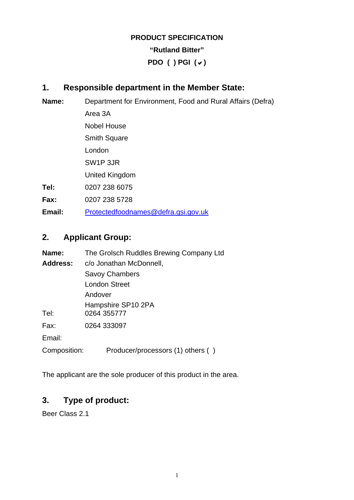# **PRODUCT SPECIFICATION "Rutland Bitter" PDO ( ) PGI (**D**)**

## **1. Responsible department in the Member State:**

| Name:  | Department for Environment, Food and Rural Affairs (Defra) |  |  |
|--------|------------------------------------------------------------|--|--|
|        | Area 3A                                                    |  |  |
|        | <b>Nobel House</b>                                         |  |  |
|        | <b>Smith Square</b>                                        |  |  |
|        | London                                                     |  |  |
|        | SW <sub>1</sub> P 3JR                                      |  |  |
|        | United Kingdom                                             |  |  |
| Tel:   | 0207 238 6075                                              |  |  |
| Fax:   | 0207 238 5728                                              |  |  |
| Email: | Protectedfoodnames@defra.gsi.gov.uk                        |  |  |

## **2. Applicant Group:**

| Name:              | The Grolsch Ruddles Brewing Company Ltd |  |  |
|--------------------|-----------------------------------------|--|--|
| Address:           | c/o Jonathan McDonnell,                 |  |  |
|                    | <b>Savoy Chambers</b>                   |  |  |
|                    | London Street                           |  |  |
|                    | Andover                                 |  |  |
| Hampshire SP10 2PA |                                         |  |  |
| Tel:               | 0264 355777                             |  |  |
| Fax:               | 0264 333097                             |  |  |
| Email:             |                                         |  |  |
| Composition:       | Producer/processors (1) others ()       |  |  |

The applicant are the sole producer of this product in the area.

### **3. Type of product:**

Beer Class 2.1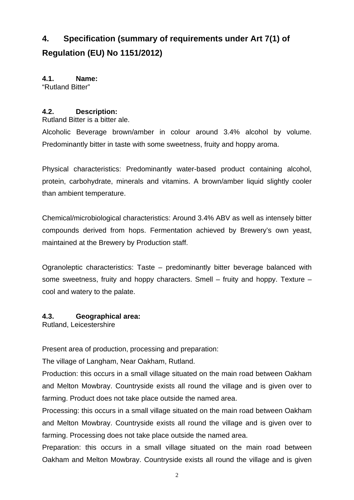# **4. Specification (summary of requirements under Art 7(1) of Regulation (EU) No 1151/2012)**

**4.1. Name:**  "Rutland Bitter"

#### **4.2. Description:**

Rutland Bitter is a bitter ale.

Alcoholic Beverage brown/amber in colour around 3.4% alcohol by volume. Predominantly bitter in taste with some sweetness, fruity and hoppy aroma.

Physical characteristics: Predominantly water-based product containing alcohol, protein, carbohydrate, minerals and vitamins. A brown/amber liquid slightly cooler than ambient temperature.

Chemical/microbiological characteristics: Around 3.4% ABV as well as intensely bitter compounds derived from hops. Fermentation achieved by Brewery's own yeast, maintained at the Brewery by Production staff.

Ogranoleptic characteristics: Taste – predominantly bitter beverage balanced with some sweetness, fruity and hoppy characters. Smell – fruity and hoppy. Texture – cool and watery to the palate.

#### **4.3. Geographical area:**

Rutland, Leicestershire

Present area of production, processing and preparation:

The village of Langham, Near Oakham, Rutland.

Production: this occurs in a small village situated on the main road between Oakham and Melton Mowbray. Countryside exists all round the village and is given over to farming. Product does not take place outside the named area.

Processing: this occurs in a small village situated on the main road between Oakham and Melton Mowbray. Countryside exists all round the village and is given over to farming. Processing does not take place outside the named area.

Preparation: this occurs in a small village situated on the main road between Oakham and Melton Mowbray. Countryside exists all round the village and is given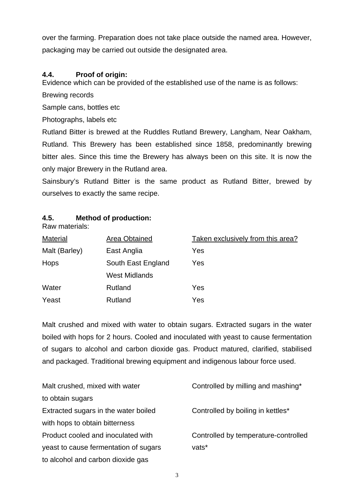over the farming. Preparation does not take place outside the named area. However, packaging may be carried out outside the designated area.

#### **4.4. Proof of origin:**

Evidence which can be provided of the established use of the name is as follows:

Brewing records

Sample cans, bottles etc

Photographs, labels etc

Rutland Bitter is brewed at the Ruddles Rutland Brewery, Langham, Near Oakham, Rutland. This Brewery has been established since 1858, predominantly brewing bitter ales. Since this time the Brewery has always been on this site. It is now the only major Brewery in the Rutland area.

Sainsbury's Rutland Bitter is the same product as Rutland Bitter, brewed by ourselves to exactly the same recipe.

#### **4.5. Method of production:**

Raw materials:

| <b>Material</b> | Area Obtained        | Taken exclusively from this area? |
|-----------------|----------------------|-----------------------------------|
| Malt (Barley)   | East Anglia          | Yes                               |
| Hops            | South East England   | Yes                               |
|                 | <b>West Midlands</b> |                                   |
| Water           | Rutland              | Yes                               |
| Yeast           | Rutland              | Yes                               |

Malt crushed and mixed with water to obtain sugars. Extracted sugars in the water boiled with hops for 2 hours. Cooled and inoculated with yeast to cause fermentation of sugars to alcohol and carbon dioxide gas. Product matured, clarified, stabilised and packaged. Traditional brewing equipment and indigenous labour force used.

| Malt crushed, mixed with water        | Controlled by milling and mashing*   |
|---------------------------------------|--------------------------------------|
| to obtain sugars                      |                                      |
| Extracted sugars in the water boiled  | Controlled by boiling in kettles*    |
| with hops to obtain bitterness        |                                      |
| Product cooled and inoculated with    | Controlled by temperature-controlled |
| yeast to cause fermentation of sugars | vats*                                |
| to alcohol and carbon dioxide gas     |                                      |

3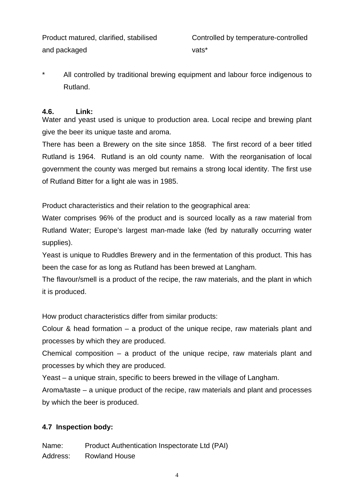and packaged vats<sup>\*</sup>

Product matured, clarified, stabilised Controlled by temperature-controlled

All controlled by traditional brewing equipment and labour force indigenous to Rutland.

#### **4.6. Link:**

Water and yeast used is unique to production area. Local recipe and brewing plant give the beer its unique taste and aroma.

There has been a Brewery on the site since 1858. The first record of a beer titled Rutland is 1964. Rutland is an old county name. With the reorganisation of local government the county was merged but remains a strong local identity. The first use of Rutland Bitter for a light ale was in 1985.

Product characteristics and their relation to the geographical area:

Water comprises 96% of the product and is sourced locally as a raw material from Rutland Water; Europe's largest man-made lake (fed by naturally occurring water supplies).

Yeast is unique to Ruddles Brewery and in the fermentation of this product. This has been the case for as long as Rutland has been brewed at Langham.

The flavour/smell is a product of the recipe, the raw materials, and the plant in which it is produced.

How product characteristics differ from similar products:

Colour & head formation – a product of the unique recipe, raw materials plant and processes by which they are produced.

Chemical composition – a product of the unique recipe, raw materials plant and processes by which they are produced.

Yeast – a unique strain, specific to beers brewed in the village of Langham.

Aroma/taste – a unique product of the recipe, raw materials and plant and processes by which the beer is produced.

#### **4.7 Inspection body:**

Name: Product Authentication Inspectorate Ltd (PAI) Address: Rowland House